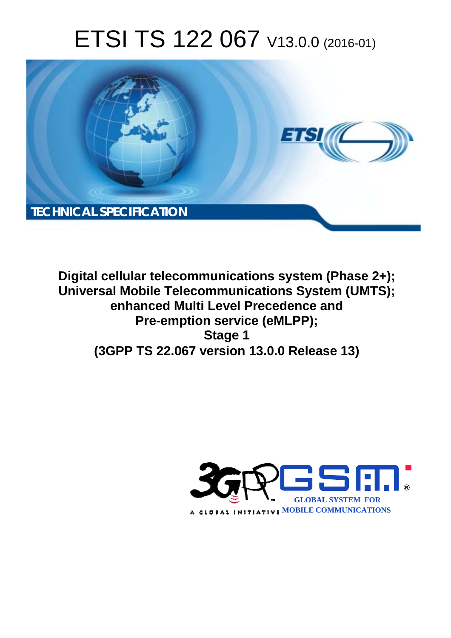# ETSI TS 122 067 V13.0.0 (2016-01)



**Digital cellular telecommunications system (Phase 2+); Universal Mobile Tel elecommunications System ( (UMTS); enhanced M Multi Level Precedence and Pre-emp mption service (eMLPP); (3GPP TS 22.0 .067 version 13.0.0 Release 13 13) Stage 1** 

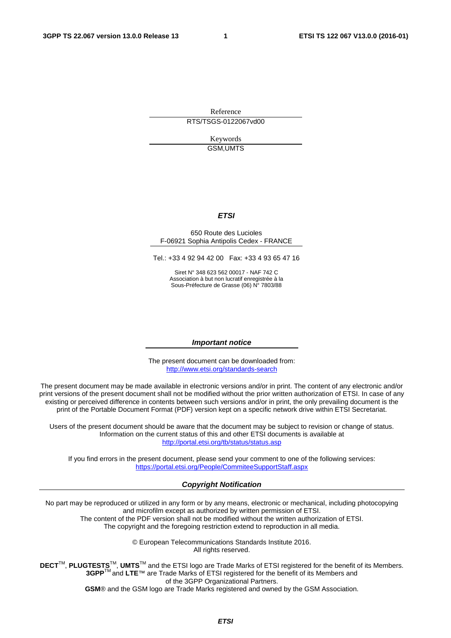Reference RTS/TSGS-0122067vd00

> Keywords GSM,UMTS

#### *ETSI*

#### 650 Route des Lucioles F-06921 Sophia Antipolis Cedex - FRANCE

Tel.: +33 4 92 94 42 00 Fax: +33 4 93 65 47 16

Siret N° 348 623 562 00017 - NAF 742 C Association à but non lucratif enregistrée à la Sous-Préfecture de Grasse (06) N° 7803/88

#### *Important notice*

The present document can be downloaded from: <http://www.etsi.org/standards-search>

The present document may be made available in electronic versions and/or in print. The content of any electronic and/or print versions of the present document shall not be modified without the prior written authorization of ETSI. In case of any existing or perceived difference in contents between such versions and/or in print, the only prevailing document is the print of the Portable Document Format (PDF) version kept on a specific network drive within ETSI Secretariat.

Users of the present document should be aware that the document may be subject to revision or change of status. Information on the current status of this and other ETSI documents is available at <http://portal.etsi.org/tb/status/status.asp>

If you find errors in the present document, please send your comment to one of the following services: <https://portal.etsi.org/People/CommiteeSupportStaff.aspx>

#### *Copyright Notification*

No part may be reproduced or utilized in any form or by any means, electronic or mechanical, including photocopying and microfilm except as authorized by written permission of ETSI.

The content of the PDF version shall not be modified without the written authorization of ETSI. The copyright and the foregoing restriction extend to reproduction in all media.

> © European Telecommunications Standards Institute 2016. All rights reserved.

**DECT**TM, **PLUGTESTS**TM, **UMTS**TM and the ETSI logo are Trade Marks of ETSI registered for the benefit of its Members. **3GPP**TM and **LTE**™ are Trade Marks of ETSI registered for the benefit of its Members and of the 3GPP Organizational Partners.

**GSM**® and the GSM logo are Trade Marks registered and owned by the GSM Association.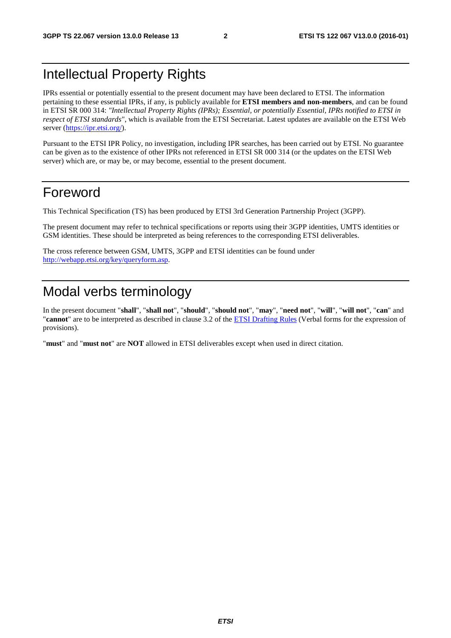### Intellectual Property Rights

IPRs essential or potentially essential to the present document may have been declared to ETSI. The information pertaining to these essential IPRs, if any, is publicly available for **ETSI members and non-members**, and can be found in ETSI SR 000 314: *"Intellectual Property Rights (IPRs); Essential, or potentially Essential, IPRs notified to ETSI in respect of ETSI standards"*, which is available from the ETSI Secretariat. Latest updates are available on the ETSI Web server [\(https://ipr.etsi.org/](https://ipr.etsi.org/)).

Pursuant to the ETSI IPR Policy, no investigation, including IPR searches, has been carried out by ETSI. No guarantee can be given as to the existence of other IPRs not referenced in ETSI SR 000 314 (or the updates on the ETSI Web server) which are, or may be, or may become, essential to the present document.

### Foreword

This Technical Specification (TS) has been produced by ETSI 3rd Generation Partnership Project (3GPP).

The present document may refer to technical specifications or reports using their 3GPP identities, UMTS identities or GSM identities. These should be interpreted as being references to the corresponding ETSI deliverables.

The cross reference between GSM, UMTS, 3GPP and ETSI identities can be found under [http://webapp.etsi.org/key/queryform.asp.](http://webapp.etsi.org/key/queryform.asp)

### Modal verbs terminology

In the present document "**shall**", "**shall not**", "**should**", "**should not**", "**may**", "**need not**", "**will**", "**will not**", "**can**" and "**cannot**" are to be interpreted as described in clause 3.2 of the [ETSI Drafting Rules](http://portal.etsi.org/Help/editHelp!/Howtostart/ETSIDraftingRules.aspx) (Verbal forms for the expression of provisions).

"**must**" and "**must not**" are **NOT** allowed in ETSI deliverables except when used in direct citation.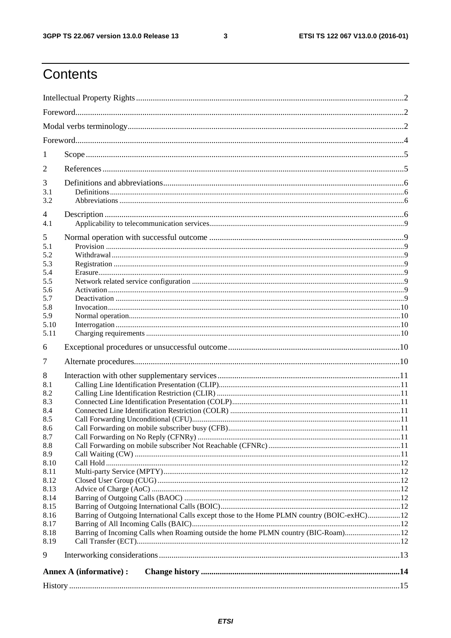$\mathbf{3}$ 

## Contents

| 1            |                                                                                             |  |  |  |  |  |
|--------------|---------------------------------------------------------------------------------------------|--|--|--|--|--|
| 2            |                                                                                             |  |  |  |  |  |
| 3            |                                                                                             |  |  |  |  |  |
| 3.1          |                                                                                             |  |  |  |  |  |
| 3.2          |                                                                                             |  |  |  |  |  |
| 4            |                                                                                             |  |  |  |  |  |
| 4.1          |                                                                                             |  |  |  |  |  |
| 5            |                                                                                             |  |  |  |  |  |
| 5.1<br>5.2   |                                                                                             |  |  |  |  |  |
| 5.3          |                                                                                             |  |  |  |  |  |
| 5.4          |                                                                                             |  |  |  |  |  |
| 5.5          |                                                                                             |  |  |  |  |  |
| 5.6          |                                                                                             |  |  |  |  |  |
| 5.7          |                                                                                             |  |  |  |  |  |
| 5.8          |                                                                                             |  |  |  |  |  |
| 5.9          |                                                                                             |  |  |  |  |  |
| 5.10<br>5.11 |                                                                                             |  |  |  |  |  |
|              |                                                                                             |  |  |  |  |  |
| 6            |                                                                                             |  |  |  |  |  |
| 7            |                                                                                             |  |  |  |  |  |
|              |                                                                                             |  |  |  |  |  |
| 8            |                                                                                             |  |  |  |  |  |
| 8.1          |                                                                                             |  |  |  |  |  |
| 8.2          |                                                                                             |  |  |  |  |  |
| 8.3          |                                                                                             |  |  |  |  |  |
| 8.4          |                                                                                             |  |  |  |  |  |
| 8.5          |                                                                                             |  |  |  |  |  |
| 8.6          |                                                                                             |  |  |  |  |  |
| 8.7          |                                                                                             |  |  |  |  |  |
| 8.8<br>8.9   |                                                                                             |  |  |  |  |  |
| 8.10         |                                                                                             |  |  |  |  |  |
| 8.11         |                                                                                             |  |  |  |  |  |
| 8.12         |                                                                                             |  |  |  |  |  |
| 8.13         |                                                                                             |  |  |  |  |  |
| 8.14         |                                                                                             |  |  |  |  |  |
| 8.15         |                                                                                             |  |  |  |  |  |
| 8.16         | Barring of Outgoing International Calls except those to the Home PLMN country (BOIC-exHC)12 |  |  |  |  |  |
| 8.17         |                                                                                             |  |  |  |  |  |
| 8.18<br>8.19 |                                                                                             |  |  |  |  |  |
|              |                                                                                             |  |  |  |  |  |
| 9            |                                                                                             |  |  |  |  |  |
|              | Annex A (informative) :                                                                     |  |  |  |  |  |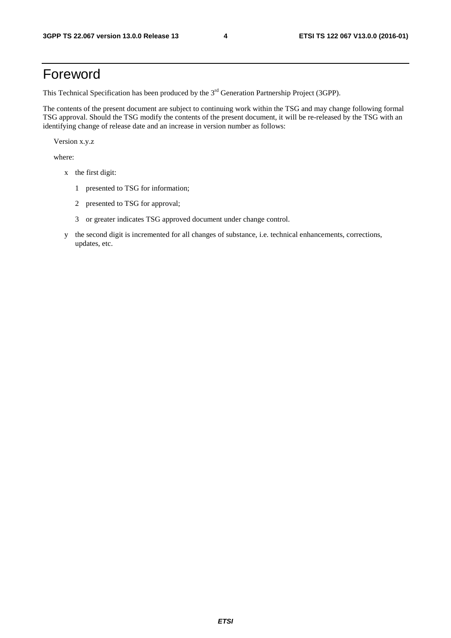### Foreword

This Technical Specification has been produced by the 3<sup>rd</sup> Generation Partnership Project (3GPP).

The contents of the present document are subject to continuing work within the TSG and may change following formal TSG approval. Should the TSG modify the contents of the present document, it will be re-released by the TSG with an identifying change of release date and an increase in version number as follows:

Version x.y.z

where:

- x the first digit:
	- 1 presented to TSG for information;
	- 2 presented to TSG for approval;
	- 3 or greater indicates TSG approved document under change control.
- y the second digit is incremented for all changes of substance, i.e. technical enhancements, corrections, updates, etc.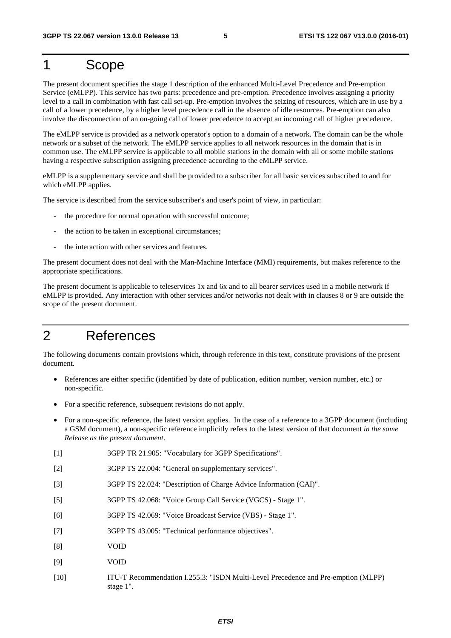### 1 Scope

The present document specifies the stage 1 description of the enhanced Multi-Level Precedence and Pre-emption Service (eMLPP). This service has two parts: precedence and pre-emption. Precedence involves assigning a priority level to a call in combination with fast call set-up. Pre-emption involves the seizing of resources, which are in use by a call of a lower precedence, by a higher level precedence call in the absence of idle resources. Pre-emption can also involve the disconnection of an on-going call of lower precedence to accept an incoming call of higher precedence.

The eMLPP service is provided as a network operator's option to a domain of a network. The domain can be the whole network or a subset of the network. The eMLPP service applies to all network resources in the domain that is in common use. The eMLPP service is applicable to all mobile stations in the domain with all or some mobile stations having a respective subscription assigning precedence according to the eMLPP service.

eMLPP is a supplementary service and shall be provided to a subscriber for all basic services subscribed to and for which eMLPP applies.

The service is described from the service subscriber's and user's point of view, in particular:

- the procedure for normal operation with successful outcome;
- the action to be taken in exceptional circumstances;
- the interaction with other services and features.

The present document does not deal with the Man-Machine Interface (MMI) requirements, but makes reference to the appropriate specifications.

The present document is applicable to teleservices 1x and 6x and to all bearer services used in a mobile network if eMLPP is provided. Any interaction with other services and/or networks not dealt with in clauses 8 or 9 are outside the scope of the present document.

### 2 References

The following documents contain provisions which, through reference in this text, constitute provisions of the present document.

- References are either specific (identified by date of publication, edition number, version number, etc.) or non-specific.
- For a specific reference, subsequent revisions do not apply.
- For a non-specific reference, the latest version applies. In the case of a reference to a 3GPP document (including a GSM document), a non-specific reference implicitly refers to the latest version of that document *in the same Release as the present document*.
- [1] 3GPP TR 21.905: "Vocabulary for 3GPP Specifications".
- [2] 3GPP TS 22.004: "General on supplementary services".
- [3] 3GPP TS 22.024: "Description of Charge Advice Information (CAI)".
- [5] 3GPP TS 42.068: "Voice Group Call Service (VGCS) Stage 1".
- [6] 3GPP TS 42.069: "Voice Broadcast Service (VBS) Stage 1".
- [7] 3GPP TS 43.005: "Technical performance objectives".
- [8] VOID
- [9] VOID
- [10] ITU-T Recommendation I.255.3: "ISDN Multi-Level Precedence and Pre-emption (MLPP) stage 1".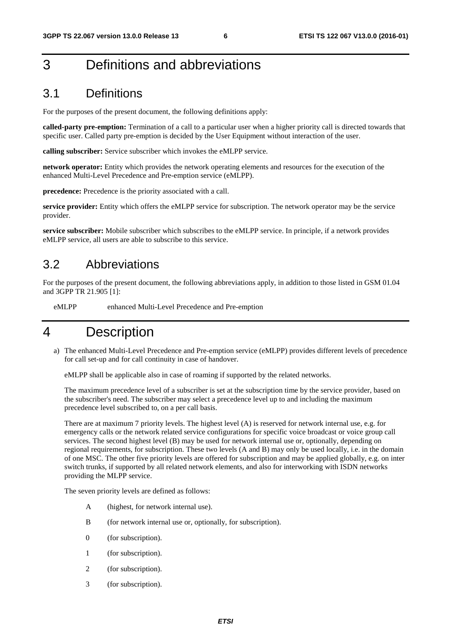### 3 Definitions and abbreviations

### 3.1 Definitions

For the purposes of the present document, the following definitions apply:

**called-party pre-emption:** Termination of a call to a particular user when a higher priority call is directed towards that specific user. Called party pre-emption is decided by the User Equipment without interaction of the user.

**calling subscriber:** Service subscriber which invokes the eMLPP service.

**network operator:** Entity which provides the network operating elements and resources for the execution of the enhanced Multi-Level Precedence and Pre-emption service (eMLPP).

**precedence:** Precedence is the priority associated with a call.

**service provider:** Entity which offers the eMLPP service for subscription. The network operator may be the service provider.

**service subscriber:** Mobile subscriber which subscribes to the eMLPP service. In principle, if a network provides eMLPP service, all users are able to subscribe to this service.

### 3.2 Abbreviations

For the purposes of the present document, the following abbreviations apply, in addition to those listed in GSM 01.04 and 3GPP TR 21.905 [1]:

eMLPP enhanced Multi-Level Precedence and Pre-emption

### 4 Description

a) The enhanced Multi-Level Precedence and Pre-emption service (eMLPP) provides different levels of precedence for call set-up and for call continuity in case of handover.

eMLPP shall be applicable also in case of roaming if supported by the related networks.

 The maximum precedence level of a subscriber is set at the subscription time by the service provider, based on the subscriber's need. The subscriber may select a precedence level up to and including the maximum precedence level subscribed to, on a per call basis.

 There are at maximum 7 priority levels. The highest level (A) is reserved for network internal use, e.g. for emergency calls or the network related service configurations for specific voice broadcast or voice group call services. The second highest level (B) may be used for network internal use or, optionally, depending on regional requirements, for subscription. These two levels (A and B) may only be used locally, i.e. in the domain of one MSC. The other five priority levels are offered for subscription and may be applied globally, e.g. on inter switch trunks, if supported by all related network elements, and also for interworking with ISDN networks providing the MLPP service.

The seven priority levels are defined as follows:

- A (highest, for network internal use).
- B (for network internal use or, optionally, for subscription).
- 0 (for subscription).
- 1 (for subscription).
- 2 (for subscription).
- 3 (for subscription).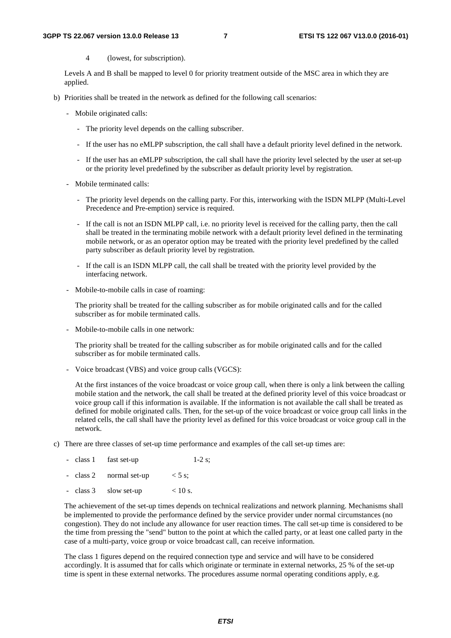4 (lowest, for subscription).

 Levels A and B shall be mapped to level 0 for priority treatment outside of the MSC area in which they are applied.

- b) Priorities shall be treated in the network as defined for the following call scenarios:
	- Mobile originated calls:
		- The priority level depends on the calling subscriber.
		- If the user has no eMLPP subscription, the call shall have a default priority level defined in the network.
		- If the user has an eMLPP subscription, the call shall have the priority level selected by the user at set-up or the priority level predefined by the subscriber as default priority level by registration.
	- Mobile terminated calls:
		- The priority level depends on the calling party. For this, interworking with the ISDN MLPP (Multi-Level Precedence and Pre-emption) service is required.
		- If the call is not an ISDN MLPP call, i.e. no priority level is received for the calling party, then the call shall be treated in the terminating mobile network with a default priority level defined in the terminating mobile network, or as an operator option may be treated with the priority level predefined by the called party subscriber as default priority level by registration.
		- If the call is an ISDN MLPP call, the call shall be treated with the priority level provided by the interfacing network.
	- Mobile-to-mobile calls in case of roaming:

 The priority shall be treated for the calling subscriber as for mobile originated calls and for the called subscriber as for mobile terminated calls.

- Mobile-to-mobile calls in one network:

 The priority shall be treated for the calling subscriber as for mobile originated calls and for the called subscriber as for mobile terminated calls.

- Voice broadcast (VBS) and voice group calls (VGCS):

 At the first instances of the voice broadcast or voice group call, when there is only a link between the calling mobile station and the network, the call shall be treated at the defined priority level of this voice broadcast or voice group call if this information is available. If the information is not available the call shall be treated as defined for mobile originated calls. Then, for the set-up of the voice broadcast or voice group call links in the related cells, the call shall have the priority level as defined for this voice broadcast or voice group call in the network.

c) There are three classes of set-up time performance and examples of the call set-up times are:

|  | - class 1 fast set-up   | $1-2$ s: |
|--|-------------------------|----------|
|  | - class 2 normal set-up | $<$ 5 s; |

- class 3 slow set-up  $< 10 \text{ s.}$ 

 The achievement of the set-up times depends on technical realizations and network planning. Mechanisms shall be implemented to provide the performance defined by the service provider under normal circumstances (no congestion). They do not include any allowance for user reaction times. The call set-up time is considered to be the time from pressing the "send" button to the point at which the called party, or at least one called party in the case of a multi-party, voice group or voice broadcast call, can receive information.

 The class 1 figures depend on the required connection type and service and will have to be considered accordingly. It is assumed that for calls which originate or terminate in external networks, 25 % of the set-up time is spent in these external networks. The procedures assume normal operating conditions apply, e.g.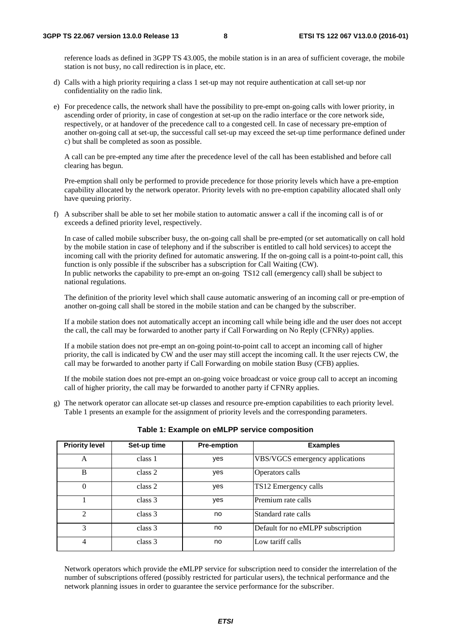reference loads as defined in 3GPP TS 43.005, the mobile station is in an area of sufficient coverage, the mobile station is not busy, no call redirection is in place, etc.

- d) Calls with a high priority requiring a class 1 set-up may not require authentication at call set-up nor confidentiality on the radio link.
- e) For precedence calls, the network shall have the possibility to pre-empt on-going calls with lower priority, in ascending order of priority, in case of congestion at set-up on the radio interface or the core network side, respectively, or at handover of the precedence call to a congested cell. In case of necessary pre-emption of another on-going call at set-up, the successful call set-up may exceed the set-up time performance defined under c) but shall be completed as soon as possible.

 A call can be pre-empted any time after the precedence level of the call has been established and before call clearing has begun.

 Pre-emption shall only be performed to provide precedence for those priority levels which have a pre-emption capability allocated by the network operator. Priority levels with no pre-emption capability allocated shall only have queuing priority.

f) A subscriber shall be able to set her mobile station to automatic answer a call if the incoming call is of or exceeds a defined priority level, respectively.

 In case of called mobile subscriber busy, the on-going call shall be pre-empted (or set automatically on call hold by the mobile station in case of telephony and if the subscriber is entitled to call hold services) to accept the incoming call with the priority defined for automatic answering. If the on-going call is a point-to-point call, this function is only possible if the subscriber has a subscription for Call Waiting (CW). In public networks the capability to pre-empt an on-going TS12 call (emergency call) shall be subject to national regulations.

 The definition of the priority level which shall cause automatic answering of an incoming call or pre-emption of another on-going call shall be stored in the mobile station and can be changed by the subscriber.

 If a mobile station does not automatically accept an incoming call while being idle and the user does not accept the call, the call may be forwarded to another party if Call Forwarding on No Reply (CFNRy) applies.

 If a mobile station does not pre-empt an on-going point-to-point call to accept an incoming call of higher priority, the call is indicated by CW and the user may still accept the incoming call. It the user rejects CW, the call may be forwarded to another party if Call Forwarding on mobile station Busy (CFB) applies.

 If the mobile station does not pre-empt an on-going voice broadcast or voice group call to accept an incoming call of higher priority, the call may be forwarded to another party if CFNRy applies.

g) The network operator can allocate set-up classes and resource pre-emption capabilities to each priority level. Table 1 presents an example for the assignment of priority levels and the corresponding parameters.

| <b>Priority level</b> | Set-up time | <b>Pre-emption</b> | <b>Examples</b>                   |
|-----------------------|-------------|--------------------|-----------------------------------|
| A                     | class 1     | yes                | VBS/VGCS emergency applications   |
| B                     | class 2     | yes                | Operators calls                   |
| $\theta$              | class 2     | yes                | TS12 Emergency calls              |
|                       | class 3     | yes                | Premium rate calls                |
| $\mathfrak{D}$        | class 3     | no                 | Standard rate calls               |
| 3                     | class 3     | no                 | Default for no eMLPP subscription |
| $\overline{4}$        | class 3     | no                 | Low tariff calls                  |

**Table 1: Example on eMLPP service composition** 

 Network operators which provide the eMLPP service for subscription need to consider the interrelation of the number of subscriptions offered (possibly restricted for particular users), the technical performance and the network planning issues in order to guarantee the service performance for the subscriber.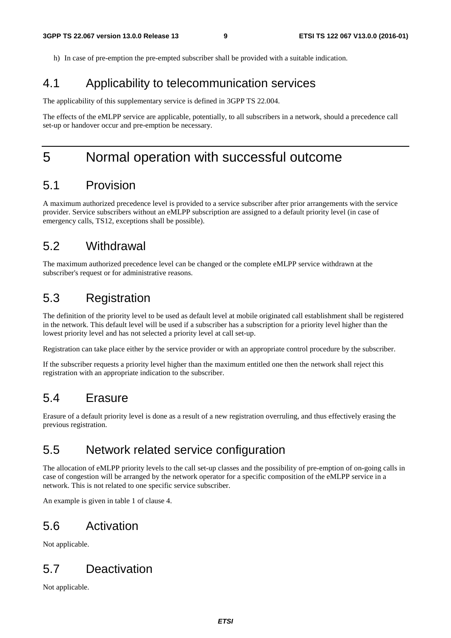h) In case of pre-emption the pre-empted subscriber shall be provided with a suitable indication.

### 4.1 Applicability to telecommunication services

The applicability of this supplementary service is defined in 3GPP TS 22.004.

The effects of the eMLPP service are applicable, potentially, to all subscribers in a network, should a precedence call set-up or handover occur and pre-emption be necessary.

### 5 Normal operation with successful outcome

### 5.1 Provision

A maximum authorized precedence level is provided to a service subscriber after prior arrangements with the service provider. Service subscribers without an eMLPP subscription are assigned to a default priority level (in case of emergency calls, TS12, exceptions shall be possible).

### 5.2 Withdrawal

The maximum authorized precedence level can be changed or the complete eMLPP service withdrawn at the subscriber's request or for administrative reasons.

### 5.3 Registration

The definition of the priority level to be used as default level at mobile originated call establishment shall be registered in the network. This default level will be used if a subscriber has a subscription for a priority level higher than the lowest priority level and has not selected a priority level at call set-up.

Registration can take place either by the service provider or with an appropriate control procedure by the subscriber.

If the subscriber requests a priority level higher than the maximum entitled one then the network shall reject this registration with an appropriate indication to the subscriber.

### 5.4 Erasure

Erasure of a default priority level is done as a result of a new registration overruling, and thus effectively erasing the previous registration.

### 5.5 Network related service configuration

The allocation of eMLPP priority levels to the call set-up classes and the possibility of pre-emption of on-going calls in case of congestion will be arranged by the network operator for a specific composition of the eMLPP service in a network. This is not related to one specific service subscriber.

An example is given in table 1 of clause 4.

### 5.6 Activation

Not applicable.

### 5.7 Deactivation

Not applicable.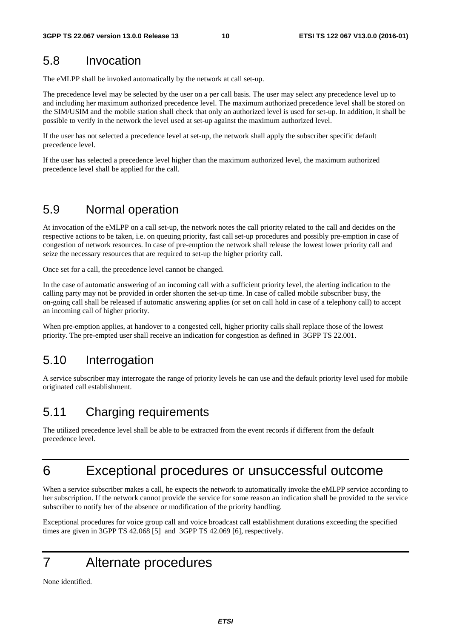### 5.8 Invocation

The eMLPP shall be invoked automatically by the network at call set-up.

The precedence level may be selected by the user on a per call basis. The user may select any precedence level up to and including her maximum authorized precedence level. The maximum authorized precedence level shall be stored on the SIM/USIM and the mobile station shall check that only an authorized level is used for set-up. In addition, it shall be possible to verify in the network the level used at set-up against the maximum authorized level.

If the user has not selected a precedence level at set-up, the network shall apply the subscriber specific default precedence level.

If the user has selected a precedence level higher than the maximum authorized level, the maximum authorized precedence level shall be applied for the call.

### 5.9 Normal operation

At invocation of the eMLPP on a call set-up, the network notes the call priority related to the call and decides on the respective actions to be taken, i.e. on queuing priority, fast call set-up procedures and possibly pre-emption in case of congestion of network resources. In case of pre-emption the network shall release the lowest lower priority call and seize the necessary resources that are required to set-up the higher priority call.

Once set for a call, the precedence level cannot be changed.

In the case of automatic answering of an incoming call with a sufficient priority level, the alerting indication to the calling party may not be provided in order shorten the set-up time. In case of called mobile subscriber busy, the on-going call shall be released if automatic answering applies (or set on call hold in case of a telephony call) to accept an incoming call of higher priority.

When pre-emption applies, at handover to a congested cell, higher priority calls shall replace those of the lowest priority. The pre-empted user shall receive an indication for congestion as defined in 3GPP TS 22.001.

### 5.10 Interrogation

A service subscriber may interrogate the range of priority levels he can use and the default priority level used for mobile originated call establishment.

### 5.11 Charging requirements

The utilized precedence level shall be able to be extracted from the event records if different from the default precedence level.

## 6 Exceptional procedures or unsuccessful outcome

When a service subscriber makes a call, he expects the network to automatically invoke the eMLPP service according to her subscription. If the network cannot provide the service for some reason an indication shall be provided to the service subscriber to notify her of the absence or modification of the priority handling.

Exceptional procedures for voice group call and voice broadcast call establishment durations exceeding the specified times are given in 3GPP TS 42.068 [5] and 3GPP TS 42.069 [6], respectively.

### 7 Alternate procedures

None identified.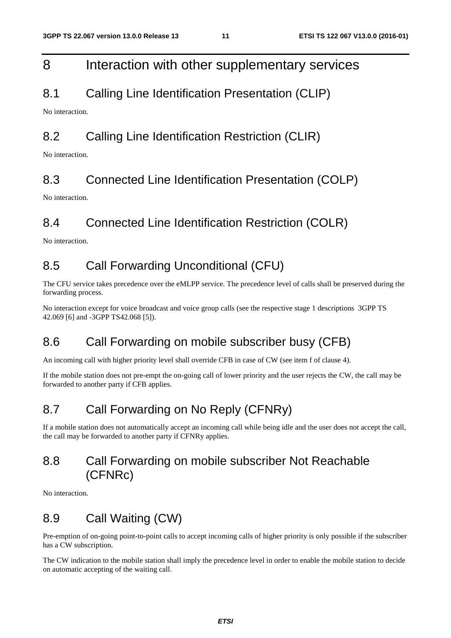### 8 Interaction with other supplementary services

### 8.1 Calling Line Identification Presentation (CLIP)

No interaction.

### 8.2 Calling Line Identification Restriction (CLIR)

No interaction.

### 8.3 Connected Line Identification Presentation (COLP)

No interaction.

### 8.4 Connected Line Identification Restriction (COLR)

No interaction.

### 8.5 Call Forwarding Unconditional (CFU)

The CFU service takes precedence over the eMLPP service. The precedence level of calls shall be preserved during the forwarding process.

No interaction except for voice broadcast and voice group calls (see the respective stage 1 descriptions 3GPP TS 42.069 [6] and -3GPP TS42.068 [5]).

### 8.6 Call Forwarding on mobile subscriber busy (CFB)

An incoming call with higher priority level shall override CFB in case of CW (see item f of clause 4).

If the mobile station does not pre-empt the on-going call of lower priority and the user rejects the CW, the call may be forwarded to another party if CFB applies.

### 8.7 Call Forwarding on No Reply (CFNRy)

If a mobile station does not automatically accept an incoming call while being idle and the user does not accept the call, the call may be forwarded to another party if CFNRy applies.

### 8.8 Call Forwarding on mobile subscriber Not Reachable (CFNRc)

No interaction.

### 8.9 Call Waiting (CW)

Pre-emption of on-going point-to-point calls to accept incoming calls of higher priority is only possible if the subscriber has a CW subscription.

The CW indication to the mobile station shall imply the precedence level in order to enable the mobile station to decide on automatic accepting of the waiting call.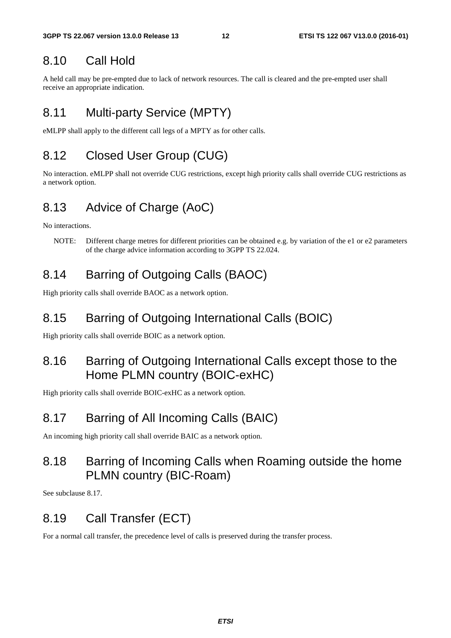### 8.10 Call Hold

A held call may be pre-empted due to lack of network resources. The call is cleared and the pre-empted user shall receive an appropriate indication.

### 8.11 Multi-party Service (MPTY)

eMLPP shall apply to the different call legs of a MPTY as for other calls.

### 8.12 Closed User Group (CUG)

No interaction. eMLPP shall not override CUG restrictions, except high priority calls shall override CUG restrictions as a network option.

### 8.13 Advice of Charge (AoC)

No interactions.

NOTE: Different charge metres for different priorities can be obtained e.g. by variation of the e1 or e2 parameters of the charge advice information according to 3GPP TS 22.024.

### 8.14 Barring of Outgoing Calls (BAOC)

High priority calls shall override BAOC as a network option.

### 8.15 Barring of Outgoing International Calls (BOIC)

High priority calls shall override BOIC as a network option.

### 8.16 Barring of Outgoing International Calls except those to the Home PLMN country (BOIC-exHC)

High priority calls shall override BOIC-exHC as a network option.

### 8.17 Barring of All Incoming Calls (BAIC)

An incoming high priority call shall override BAIC as a network option.

### 8.18 Barring of Incoming Calls when Roaming outside the home PLMN country (BIC-Roam)

See subclause 8.17.

### 8.19 Call Transfer (ECT)

For a normal call transfer, the precedence level of calls is preserved during the transfer process.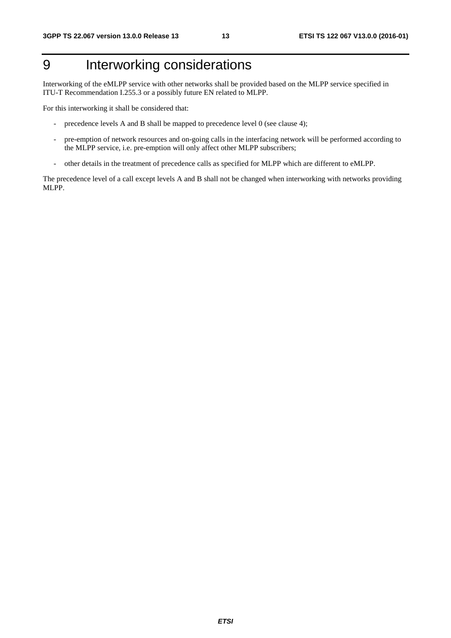## 9 Interworking considerations

Interworking of the eMLPP service with other networks shall be provided based on the MLPP service specified in ITU-T Recommendation I.255.3 or a possibly future EN related to MLPP.

For this interworking it shall be considered that:

- precedence levels A and B shall be mapped to precedence level 0 (see clause 4);
- pre-emption of network resources and on-going calls in the interfacing network will be performed according to the MLPP service, i.e. pre-emption will only affect other MLPP subscribers;
- other details in the treatment of precedence calls as specified for MLPP which are different to eMLPP.

The precedence level of a call except levels A and B shall not be changed when interworking with networks providing MLPP.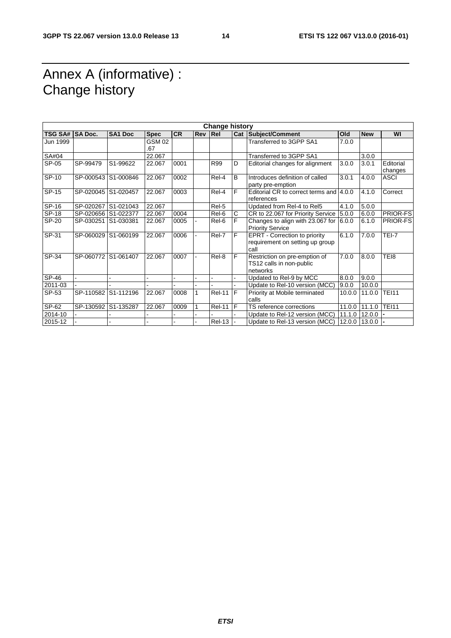### Annex A (informative) : Change history

| <b>Change history</b> |                |                     |                      |           |     |               |    |                                                                          |        |                       |                      |
|-----------------------|----------------|---------------------|----------------------|-----------|-----|---------------|----|--------------------------------------------------------------------------|--------|-----------------------|----------------------|
| <b>TSG SA#</b>        | <b>SA Doc.</b> | <b>SA1 Doc</b>      | <b>Spec</b>          | <b>CR</b> | Rev | Rel           |    | Cat Subject/Comment                                                      | Old    | <b>New</b>            | WI                   |
| Jun 1999              |                |                     | <b>GSM 02</b><br>.67 |           |     |               |    | Transferred to 3GPP SA1                                                  | 7.0.0  |                       |                      |
| SA#04                 |                |                     | 22.067               |           |     |               |    | Transferred to 3GPP SA1                                                  |        | 3.0.0                 |                      |
| SP-05                 | SP-99479       | S1-99622            | 22.067               | 0001      |     | R99           | D  | Editorial changes for alignment                                          | 3.0.0  | 3.0.1                 | Editorial<br>changes |
| SP-10                 | SP-000543      | S1-000846           | 22.067               | 0002      |     | Rel-4         | B  | Introduces definition of called<br>party pre-emption                     | 3.0.1  | 4.0.0                 | <b>ASCI</b>          |
| SP-15                 |                | SP-020045 S1-020457 | 22.067               | 0003      |     | Rel-4         | F  | Editorial CR to correct terms and<br>references                          | 4.0.0  | 4.1.0                 | Correct              |
| SP-16                 | SP-020267      | S1-021043           | 22.067               |           |     | Rel-5         |    | Updated from Rel-4 to Rel5                                               | 4.1.0  | 5.0.0                 |                      |
| SP-18                 |                | SP-020656 S1-022377 | 22.067               | 0004      |     | Rel-6         | С  | CR to 22.067 for Priority Service                                        | 5.0.0  | 6.0.0                 | PRIOR-FS             |
| SP-20                 | SP-030251      | S1-030381           | 22.067               | 0005      |     | Rel-6         | F  | Changes to align with 23.067 for<br><b>Priority Service</b>              | 6.0.0  | 6.1.0                 | PRIOR-FS             |
| SP-31                 |                | SP-060029 S1-060199 | 22.067               | 0006      |     | Rel-7         | F  | EPRT - Correction to priority<br>requirement on setting up group<br>call | 6.1.0  | 7.0.0                 | $TEI-7$              |
| SP-34                 |                | SP-060772 S1-061407 | 22.067               | 0007      |     | Rel-8         | F  | Restriction on pre-emption of<br>TS12 calls in non-public<br>networks    | 7.0.0  | 8.0.0                 | TEI8                 |
| SP-46                 |                |                     |                      |           |     |               |    | Updated to Rel-9 by MCC                                                  | 8.0.0  | 9.0.0                 |                      |
| 2011-03               |                |                     |                      |           |     |               |    | Update to Rel-10 version (MCC)                                           | 9.0.0  | 10.0.0                |                      |
| SP-53                 | SP-110582      | S1-112196           | 22.067               | 0008      |     | <b>Rel-11</b> | IF | Priority at Mobile terminated<br>calls                                   | 10.0.0 | 11.0.0                | <b>TEI11</b>         |
| SP-62                 | SP-130592      | S1-135287           | 22.067               | 0009      |     | $Rel-11$ $ F$ |    | TS reference corrections                                                 | 11.0.0 | 11.1.0                | <b>TEI11</b>         |
| 2014-10               |                |                     |                      |           |     |               |    | Update to Rel-12 version (MCC)                                           | 11.1.0 | 12.0.0                |                      |
| 2015-12               |                |                     |                      |           |     | <b>Rel-13</b> |    | Update to Rel-13 version (MCC)                                           |        | $12.0.0$   13.0.0   - |                      |